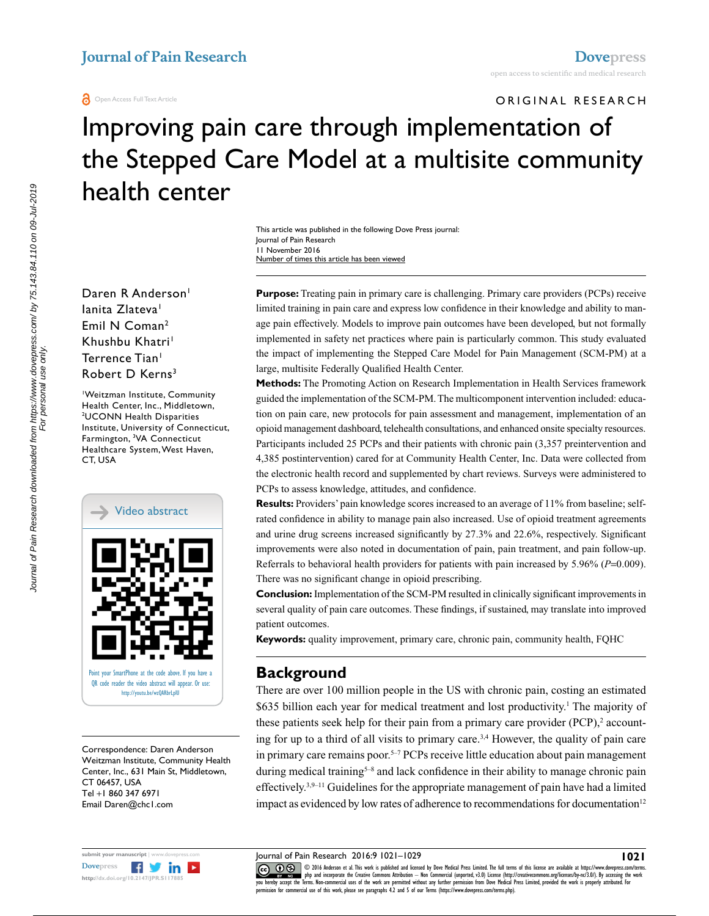#### **a** Open Access Full Text Article

ORIGINAL RESEARCH

# Improving pain care through implementation of the Stepped Care Model at a multisite community health center

This article was published in the following Dove Press journal: Journal of Pain Research 11 November 2016 Number of times this article has been viewed

Daren R Anderson<sup>1</sup> lanita Zlateva<sup>1</sup> Emil N Coman2 Khushbu Khatri<sup>1</sup> Terrence Tian<sup>1</sup> Robert D Kerns<sup>3</sup>

1 Weitzman Institute, Community Health Center, Inc., Middletown, 2 UCONN Health Disparities Institute, University of Connecticut, Farmington, <sup>3</sup>VA Connecticut Healthcare System, West Haven, CT, USA



Correspondence: Daren Anderson Weitzman Institute, Community Health Center, Inc., 631 Main St, Middletown, CT 06457, USA Tel +1 860 347 6971 Email [Daren@chc1.com](mailto:Daren@chc1.com)



Journal of Pain Research downloaded from https://www.dovepress.com/ by 75,143.84,110 on 09-Jul-2019<br>For personal use only. Journal of Pain Research downloaded from https://www.dovepress.com/ by 75.143.84.110 on 09-Jul-2019 For personal use only.

**Purpose:** Treating pain in primary care is challenging. Primary care providers (PCPs) receive limited training in pain care and express low confidence in their knowledge and ability to manage pain effectively. Models to improve pain outcomes have been developed, but not formally implemented in safety net practices where pain is particularly common. This study evaluated the impact of implementing the Stepped Care Model for Pain Management (SCM-PM) at a large, multisite Federally Qualified Health Center.

**Methods:** The Promoting Action on Research Implementation in Health Services framework guided the implementation of the SCM-PM. The multicomponent intervention included: education on pain care, new protocols for pain assessment and management, implementation of an opioid management dashboard, telehealth consultations, and enhanced onsite specialty resources. Participants included 25 PCPs and their patients with chronic pain (3,357 preintervention and 4,385 postintervention) cared for at Community Health Center, Inc. Data were collected from the electronic health record and supplemented by chart reviews. Surveys were administered to PCPs to assess knowledge, attitudes, and confidence.

**Results:** Providers' pain knowledge scores increased to an average of 11% from baseline; selfrated confidence in ability to manage pain also increased. Use of opioid treatment agreements and urine drug screens increased significantly by 27.3% and 22.6%, respectively. Significant improvements were also noted in documentation of pain, pain treatment, and pain follow-up. Referrals to behavioral health providers for patients with pain increased by 5.96% (*P*=0.009). There was no significant change in opioid prescribing.

**Conclusion:** Implementation of the SCM-PM resulted in clinically significant improvements in several quality of pain care outcomes. These findings, if sustained, may translate into improved patient outcomes.

**Keywords:** quality improvement, primary care, chronic pain, community health, FQHC

# **Background**

There are over 100 million people in the US with chronic pain, costing an estimated \$635 billion each year for medical treatment and lost productivity.<sup>1</sup> The majority of these patients seek help for their pain from a primary care provider  $(PCP)$ , accounting for up to a third of all visits to primary care.<sup>3,4</sup> However, the quality of pain care in primary care remains poor.<sup>5-7</sup> PCPs receive little education about pain management during medical training<sup>5–8</sup> and lack confidence in their ability to manage chronic pain effectively.3,9–11 Guidelines for the appropriate management of pain have had a limited impact as evidenced by low rates of adherence to recommendations for documentation<sup>12</sup>

Journal of Pain Research 2016:9 1021–1029

CC © S © 2016 Anderson et al. This work is published and licensed by Dove Medical Press Limited. The full terms of this license are available at https://www.dovepress.com/terms www.com php and incorporate the Creative Commons Attribution — Non Commercial (unported, v3.0) License (http://creativecommons.org/licenses/by-nc/3.0/). By accessing the work<br>[you hereby accept the T](http://www.dovepress.com/permissions.php)erms. Non-commercial use  $m$ ission for commercial use of this work, please see paragraphs  $4.2$  and  $5$  of our Terms (https://www.dovepress.com/terms.php).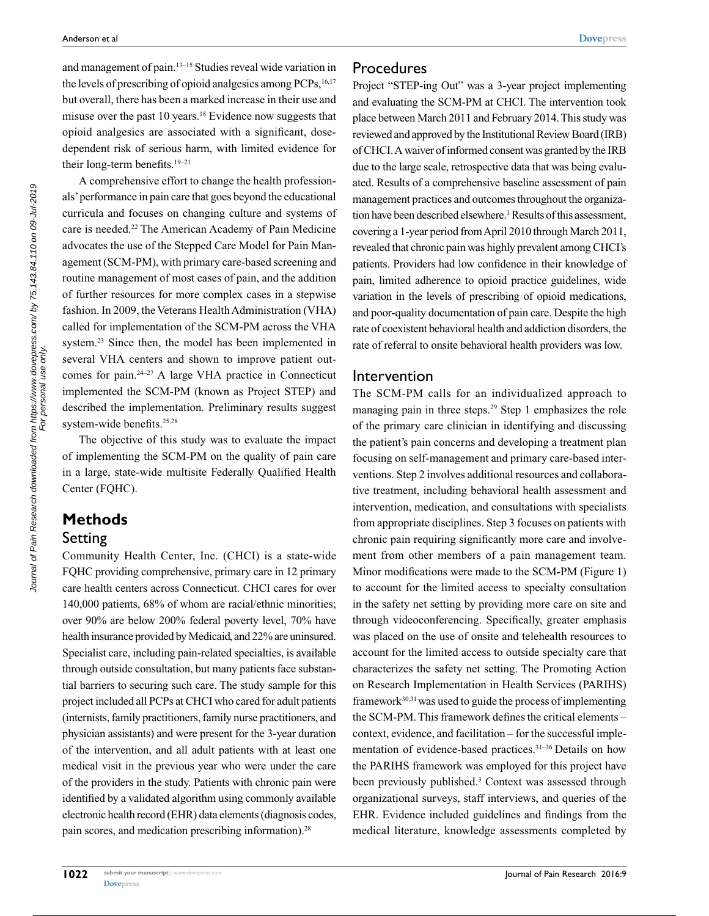and management of pain.13–15 Studies reveal wide variation in the levels of prescribing of opioid analgesics among PCPs,<sup>16,17</sup> but overall, there has been a marked increase in their use and misuse over the past 10 years.<sup>18</sup> Evidence now suggests that opioid analgesics are associated with a significant, dosedependent risk of serious harm, with limited evidence for their long-term benefits.<sup>19-21</sup>

A comprehensive effort to change the health professionals' performance in pain care that goes beyond the educational curricula and focuses on changing culture and systems of care is needed.<sup>22</sup> The American Academy of Pain Medicine advocates the use of the Stepped Care Model for Pain Management (SCM-PM), with primary care-based screening and routine management of most cases of pain, and the addition of further resources for more complex cases in a stepwise fashion. In 2009, the Veterans Health Administration (VHA) called for implementation of the SCM-PM across the VHA system.<sup>23</sup> Since then, the model has been implemented in several VHA centers and shown to improve patient outcomes for pain.24–27 A large VHA practice in Connecticut implemented the SCM-PM (known as Project STEP) and described the implementation. Preliminary results suggest system-wide benefits.<sup>25,28</sup>

The objective of this study was to evaluate the impact of implementing the SCM-PM on the quality of pain care in a large, state-wide multisite Federally Qualified Health Center (FQHC).

# **Methods**

## Setting

Community Health Center, Inc. (CHCI) is a state-wide FQHC providing comprehensive, primary care in 12 primary care health centers across Connecticut. CHCI cares for over 140,000 patients, 68% of whom are racial/ethnic minorities; over 90% are below 200% federal poverty level, 70% have health insurance provided by Medicaid, and 22% are uninsured. Specialist care, including pain-related specialties, is available through outside consultation, but many patients face substantial barriers to securing such care. The study sample for this project included all PCPs at CHCI who cared for adult patients (internists, family practitioners, family nurse practitioners, and physician assistants) and were present for the 3-year duration of the intervention, and all adult patients with at least one medical visit in the previous year who were under the care of the providers in the study. Patients with chronic pain were identified by a validated algorithm using commonly available electronic health record (EHR) data elements (diagnosis codes, pain scores, and medication prescribing information).<sup>28</sup>

# **Procedures**

Project "STEP-ing Out" was a 3-year project implementing and evaluating the SCM-PM at CHCI. The intervention took place between March 2011 and February 2014. This study was reviewed and approved by the Institutional Review Board (IRB) of CHCI. A waiver of informed consent was granted by the IRB due to the large scale, retrospective data that was being evaluated. Results of a comprehensive baseline assessment of pain management practices and outcomes throughout the organization have been described elsewhere.3 Results of this assessment, covering a 1-year period from April 2010 through March 2011, revealed that chronic pain was highly prevalent among CHCI's patients. Providers had low confidence in their knowledge of pain, limited adherence to opioid practice guidelines, wide variation in the levels of prescribing of opioid medications, and poor-quality documentation of pain care. Despite the high rate of coexistent behavioral health and addiction disorders, the rate of referral to onsite behavioral health providers was low.

# Intervention

The SCM-PM calls for an individualized approach to managing pain in three steps.29 Step 1 emphasizes the role of the primary care clinician in identifying and discussing the patient's pain concerns and developing a treatment plan focusing on self-management and primary care-based interventions. Step 2 involves additional resources and collaborative treatment, including behavioral health assessment and intervention, medication, and consultations with specialists from appropriate disciplines. Step 3 focuses on patients with chronic pain requiring significantly more care and involvement from other members of a pain management team. Minor modifications were made to the SCM-PM (Figure 1) to account for the limited access to specialty consultation in the safety net setting by providing more care on site and through videoconferencing. Specifically, greater emphasis was placed on the use of onsite and telehealth resources to account for the limited access to outside specialty care that characterizes the safety net setting. The Promoting Action on Research Implementation in Health Services (PARIHS) framework $30,31$  was used to guide the process of implementing the SCM-PM. This framework defines the critical elements – context, evidence, and facilitation – for the successful implementation of evidence-based practices.<sup>31-36</sup> Details on how the PARIHS framework was employed for this project have been previously published.<sup>3</sup> Context was assessed through organizational surveys, staff interviews, and queries of the EHR. Evidence included guidelines and findings from the medical literature, knowledge assessments completed by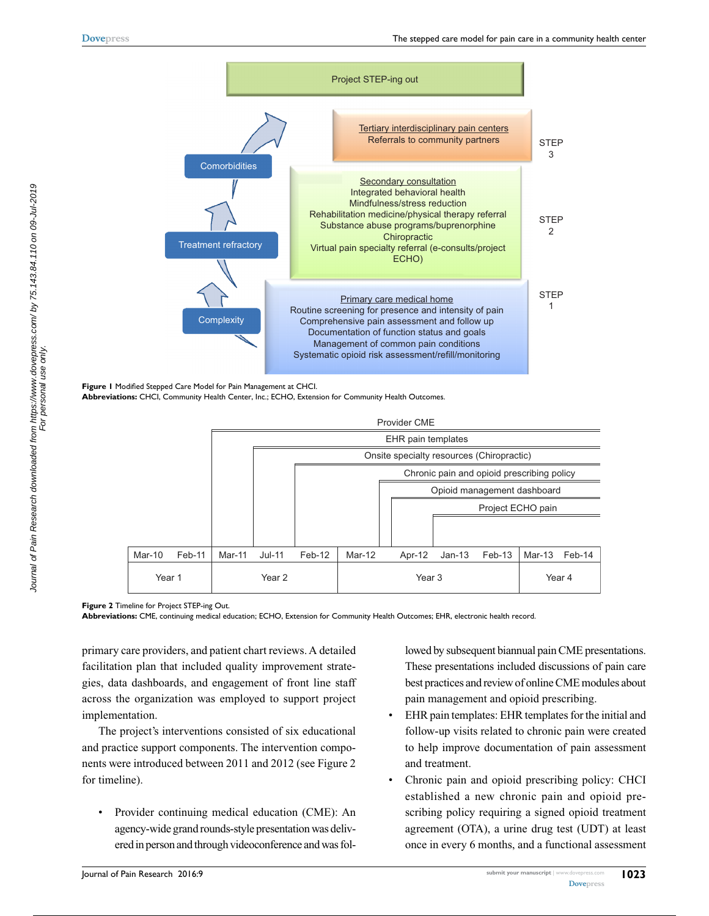

**Figure 1** Modified Stepped Care Model for Pain Management at CHCI.

**Abbreviations:** CHCI, Community Health Center, Inc.; ECHO, Extension for Community Health Outcomes.



**Figure 2** Timeline for Project STEP-ing Out.

**Abbreviations:** CME, continuing medical education; ECHO, Extension for Community Health Outcomes; EHR, electronic health record.

primary care providers, and patient chart reviews. A detailed facilitation plan that included quality improvement strategies, data dashboards, and engagement of front line staff across the organization was employed to support project implementation.

The project's interventions consisted of six educational and practice support components. The intervention components were introduced between 2011 and 2012 (see Figure 2 for timeline).

• Provider continuing medical education (CME): An agency-wide grand rounds-style presentation was delivered in person and through videoconference and was followed by subsequent biannual pain CME presentations. These presentations included discussions of pain care best practices and review of online CME modules about pain management and opioid prescribing.

- EHR pain templates: EHR templates for the initial and follow-up visits related to chronic pain were created to help improve documentation of pain assessment and treatment.
- Chronic pain and opioid prescribing policy: CHCI established a new chronic pain and opioid prescribing policy requiring a signed opioid treatment agreement (OTA), a urine drug test (UDT) at least once in every 6 months, and a functional assessment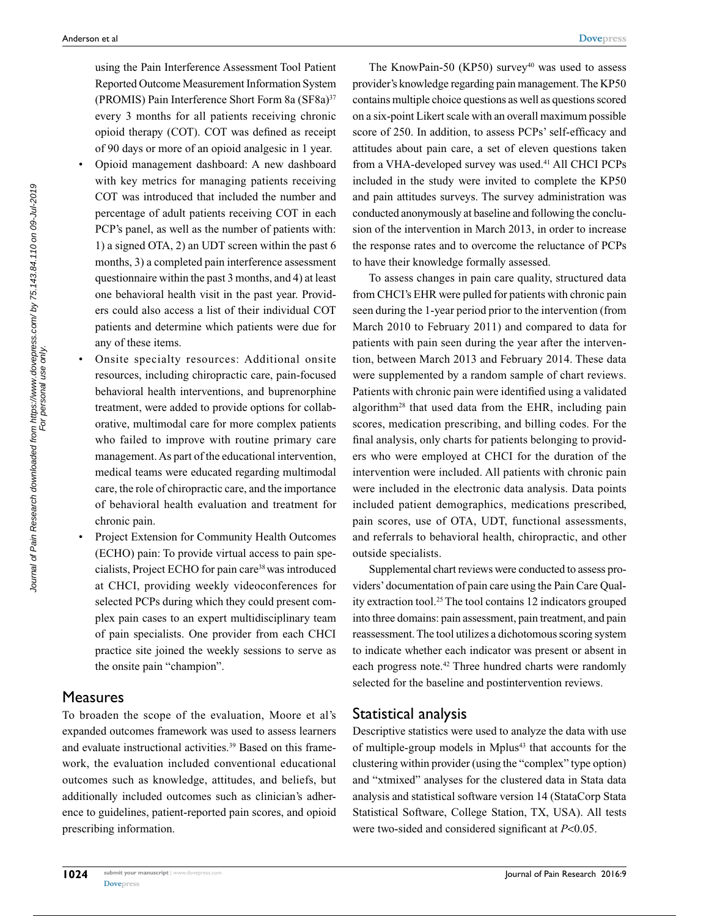using the Pain Interference Assessment Tool Patient Reported Outcome Measurement Information System (PROMIS) Pain Interference Short Form 8a (SF8a)<sup>37</sup> every 3 months for all patients receiving chronic opioid therapy (COT). COT was defined as receipt of 90 days or more of an opioid analgesic in 1 year.

- • Opioid management dashboard: A new dashboard with key metrics for managing patients receiving COT was introduced that included the number and percentage of adult patients receiving COT in each PCP's panel, as well as the number of patients with: 1) a signed OTA, 2) an UDT screen within the past 6 months, 3) a completed pain interference assessment questionnaire within the past 3 months, and 4) at least one behavioral health visit in the past year. Providers could also access a list of their individual COT patients and determine which patients were due for any of these items.
- • Onsite specialty resources: Additional onsite resources, including chiropractic care, pain-focused behavioral health interventions, and buprenorphine treatment, were added to provide options for collaborative, multimodal care for more complex patients who failed to improve with routine primary care management. As part of the educational intervention, medical teams were educated regarding multimodal care, the role of chiropractic care, and the importance of behavioral health evaluation and treatment for chronic pain.
- Project Extension for Community Health Outcomes (ECHO) pain: To provide virtual access to pain specialists, Project ECHO for pain care<sup>38</sup> was introduced at CHCI, providing weekly videoconferences for selected PCPs during which they could present complex pain cases to an expert multidisciplinary team of pain specialists. One provider from each CHCI practice site joined the weekly sessions to serve as the onsite pain "champion".

## **Measures**

To broaden the scope of the evaluation, Moore et al's expanded outcomes framework was used to assess learners and evaluate instructional activities.<sup>39</sup> Based on this framework, the evaluation included conventional educational outcomes such as knowledge, attitudes, and beliefs, but additionally included outcomes such as clinician's adherence to guidelines, patient-reported pain scores, and opioid prescribing information.

The KnowPain-50 (KP50) survey<sup>40</sup> was used to assess provider's knowledge regarding pain management. The KP50 contains multiple choice questions as well as questions scored on a six-point Likert scale with an overall maximum possible score of 250. In addition, to assess PCPs' self-efficacy and attitudes about pain care, a set of eleven questions taken from a VHA-developed survey was used.<sup>41</sup> All CHCI PCPs included in the study were invited to complete the KP50 and pain attitudes surveys. The survey administration was conducted anonymously at baseline and following the conclusion of the intervention in March 2013, in order to increase the response rates and to overcome the reluctance of PCPs to have their knowledge formally assessed.

To assess changes in pain care quality, structured data from CHCI's EHR were pulled for patients with chronic pain seen during the 1-year period prior to the intervention (from March 2010 to February 2011) and compared to data for patients with pain seen during the year after the intervention, between March 2013 and February 2014. These data were supplemented by a random sample of chart reviews. Patients with chronic pain were identified using a validated algorithm28 that used data from the EHR, including pain scores, medication prescribing, and billing codes. For the final analysis, only charts for patients belonging to providers who were employed at CHCI for the duration of the intervention were included. All patients with chronic pain were included in the electronic data analysis. Data points included patient demographics, medications prescribed, pain scores, use of OTA, UDT, functional assessments, and referrals to behavioral health, chiropractic, and other outside specialists.

Supplemental chart reviews were conducted to assess providers' documentation of pain care using the Pain Care Quality extraction tool.25 The tool contains 12 indicators grouped into three domains: pain assessment, pain treatment, and pain reassessment. The tool utilizes a dichotomous scoring system to indicate whether each indicator was present or absent in each progress note.<sup>42</sup> Three hundred charts were randomly selected for the baseline and postintervention reviews.

# Statistical analysis

Descriptive statistics were used to analyze the data with use of multiple-group models in Mplus<sup>43</sup> that accounts for the clustering within provider (using the "complex" type option) and "xtmixed" analyses for the clustered data in Stata data analysis and statistical software version 14 (StataCorp Stata Statistical Software, College Station, TX, USA). All tests were two-sided and considered significant at *P*<0.05.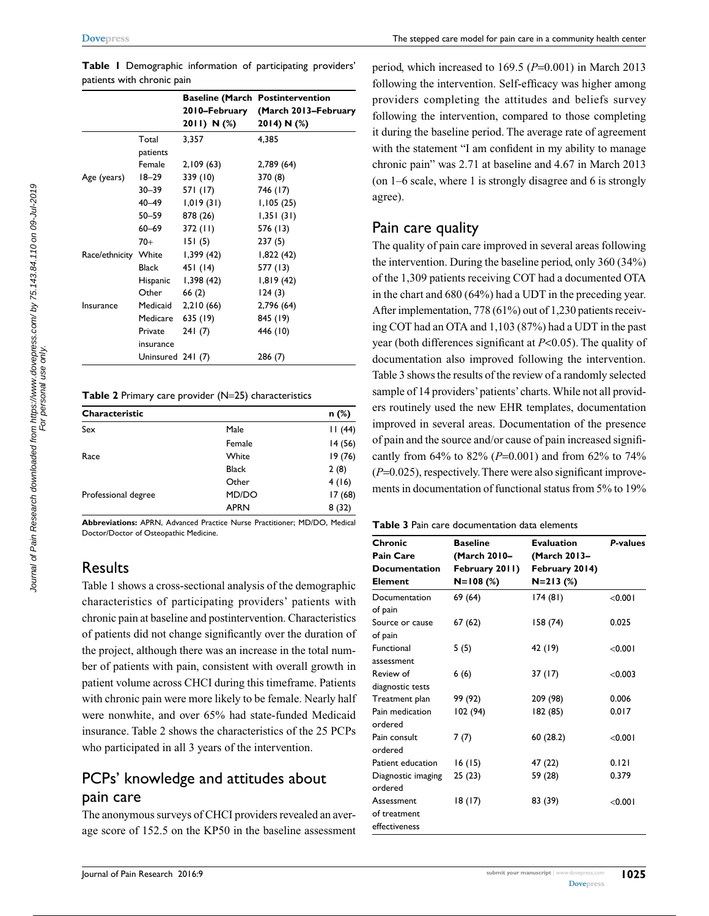|                      |                   | 2010–February<br>2011) N (%) | <b>Baseline (March Postintervention</b><br>(March 2013–February)<br>2014) N (%) |
|----------------------|-------------------|------------------------------|---------------------------------------------------------------------------------|
|                      | Total             | 3,357                        | 4,385                                                                           |
|                      | patients          |                              |                                                                                 |
|                      | Female            | 2,109(63)                    | 2,789 (64)                                                                      |
| Age (years)          | 18–29             | 339 (10)                     | 370 (8)                                                                         |
|                      | 30–39             | 571 (17)                     | 746 (17)                                                                        |
|                      | 40–49             | 1,019(31)                    | 1,105(25)                                                                       |
|                      | 50-59             | 878 (26)                     | 1,351(31)                                                                       |
|                      | 60–69             | 372(11)                      | 576 (13)                                                                        |
|                      | $70+$             | 151(5)                       | 237 (5)                                                                         |
| Race/ethnicity White |                   | l,399 (42)                   | 1,822(42)                                                                       |
|                      | <b>Black</b>      | 451 (14)                     | 577 (13)                                                                        |
|                      | Hispanic          | l,398 (42)                   | 1,819(42)                                                                       |
|                      | Other             | 66(2)                        | 124(3)                                                                          |
| Insurance            | Medicaid          | 2,210 (66)                   | 2,796 (64)                                                                      |
|                      | Medicare          | 635 (19)                     | 845 (19)                                                                        |
|                      | Private           | 241(7)                       | 446 (10)                                                                        |
|                      | insurance         |                              |                                                                                 |
|                      | Uninsured 241 (7) |                              | 286 (7)                                                                         |

**Table 1** Demographic information of participating providers' patients with chronic pain

**Table 2** Primary care provider (N=25) characteristics

| <b>Characteristic</b> |              | n (%)  |
|-----------------------|--------------|--------|
| Sex                   | Male         | 11(44) |
|                       | Female       | 14(56) |
| Race                  | White        | 19(76) |
|                       | <b>Black</b> | 2(8)   |
|                       | Other        | 4(16)  |
| Professional degree   | MD/DO        | 17(68) |
|                       | <b>APRN</b>  | 8(32)  |

**Abbreviations:** APRN, Advanced Practice Nurse Practitioner; MD/DO, Medical Doctor/Doctor of Osteopathic Medicine.

# Results

Table 1 shows a cross-sectional analysis of the demographic characteristics of participating providers' patients with chronic pain at baseline and postintervention. Characteristics of patients did not change significantly over the duration of the project, although there was an increase in the total number of patients with pain, consistent with overall growth in patient volume across CHCI during this timeframe. Patients with chronic pain were more likely to be female. Nearly half were nonwhite, and over 65% had state-funded Medicaid insurance. Table 2 shows the characteristics of the 25 PCPs who participated in all 3 years of the intervention.

# PCPs' knowledge and attitudes about pain care

The anonymous surveys of CHCI providers revealed an average score of 152.5 on the KP50 in the baseline assessment period, which increased to 169.5 (*P*=0.001) in March 2013 following the intervention. Self-efficacy was higher among providers completing the attitudes and beliefs survey following the intervention, compared to those completing it during the baseline period. The average rate of agreement with the statement "I am confident in my ability to manage chronic pain" was 2.71 at baseline and 4.67 in March 2013 (on 1–6 scale, where 1 is strongly disagree and 6 is strongly agree).

# Pain care quality

The quality of pain care improved in several areas following the intervention. During the baseline period, only 360 (34%) of the 1,309 patients receiving COT had a documented OTA in the chart and 680 (64%) had a UDT in the preceding year. After implementation, 778 (61%) out of 1,230 patients receiving COT had an OTA and 1,103 (87%) had a UDT in the past year (both differences significant at *P*<0.05). The quality of documentation also improved following the intervention. Table 3 shows the results of the review of a randomly selected sample of 14 providers' patients' charts. While not all providers routinely used the new EHR templates, documentation improved in several areas. Documentation of the presence of pain and the source and/or cause of pain increased significantly from 64% to 82% (*P*=0.001) and from 62% to 74% (*P*=0.025), respectively. There were also significant improvements in documentation of functional status from 5% to 19%

|  | <b>Table 3</b> Pain care documentation data elements |  |
|--|------------------------------------------------------|--|
|--|------------------------------------------------------|--|

| Chronic              | <b>Baseline</b> | <b>Evaluation</b> | P-values |
|----------------------|-----------------|-------------------|----------|
| <b>Pain Care</b>     | (March 2010-    | (March 2013-      |          |
| <b>Documentation</b> | February 2011)  | February 2014)    |          |
| Element              | $N = 108$ (%)   | $N = 213$ (%)     |          |
| Documentation        | 69 (64)         | 174 (81)          | < 0.001  |
| of pain              |                 |                   |          |
| Source or cause      | 67(62)          | 158 (74)          | 0.025    |
| of pain              |                 |                   |          |
| Functional           | 5 (5)           | 42 (19)           | < 0.001  |
| assessment           |                 |                   |          |
| Review of            | 6 (6)           | 37(17)            | < 0.003  |
| diagnostic tests     |                 |                   |          |
| Treatment plan       | 99 (92)         | 209 (98)          | 0.006    |
| Pain medication      | 102 (94)        | 182 (85)          | 0.017    |
| ordered              |                 |                   |          |
| Pain consult         | 7 (7)           | 60 (28.2)         | < 0.001  |
| ordered              |                 |                   |          |
| Patient education    | 16(15)          | 47 (22)           | 0.121    |
| Diagnostic imaging   | 25(23)          | 59 (28)           | 0.379    |
| ordered              |                 |                   |          |
| Assessment           | 18 (17)         | 83 (39)           | < 0.001  |
| of treatment         |                 |                   |          |
| effectiveness        |                 |                   |          |

For personal use only.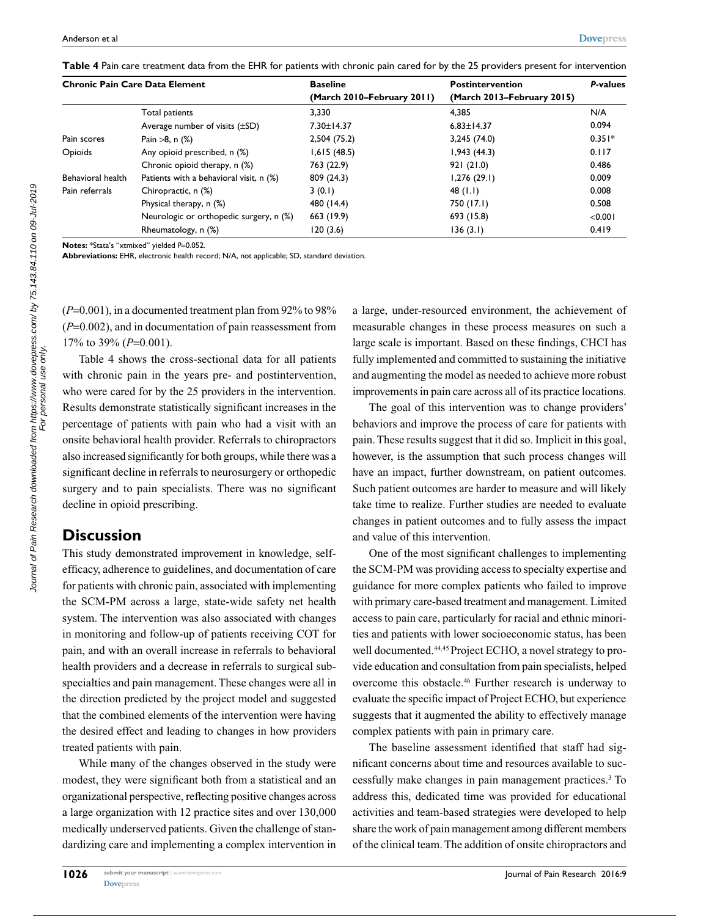| <b>Chronic Pain Care Data Element</b> |                                         | <b>Baseline</b><br>(March 2010–February 2011) | <b>Postintervention</b><br>(March 2013-February 2015) | P-values |
|---------------------------------------|-----------------------------------------|-----------------------------------------------|-------------------------------------------------------|----------|
|                                       | Total patients                          | 3.330                                         | 4.385                                                 | N/A      |
|                                       | Average number of visits $(\pm SD)$     | $7.30 \pm 14.37$                              | $6.83 \pm 14.37$                                      | 0.094    |
| Pain scores                           | Pain $>8$ , n $(\%)$                    | 2,504 (75.2)                                  | 3,245 (74.0)                                          | $0.351*$ |
| Opioids                               | Any opioid prescribed, n (%)            | 1,615(48.5)                                   | 1,943(44.3)                                           | 0.117    |
|                                       | Chronic opioid therapy, n (%)           | 763 (22.9)                                    | 921(21.0)                                             | 0.486    |
| Behavioral health                     | Patients with a behavioral visit, n (%) | 809 (24.3)                                    | 1,276(29.1)                                           | 0.009    |
| Pain referrals                        | Chiropractic, n (%)                     | 3(0.1)                                        | 48 $(1.1)$                                            | 0.008    |
|                                       | Physical therapy, n (%)                 | 480 (14.4)                                    | 750 (17.1)                                            | 0.508    |
|                                       | Neurologic or orthopedic surgery, n (%) | 663 (19.9)                                    | 693 (15.8)                                            | < 0.001  |
|                                       | Rheumatology, n (%)                     | 120(3.6)                                      | 136(3.1)                                              | 0.419    |

**Table 4** Pain care treatment data from the EHR for patients with chronic pain cared for by the 25 providers present for intervention

**Notes:** \*Stata's "xtmixed" yielded *P*=0.052.

**Abbreviations:** EHR, electronic health record; N/A, not applicable; SD, standard deviation.

(*P*=0.001), in a documented treatment plan from 92% to 98% (*P*=0.002), and in documentation of pain reassessment from 17% to 39% (*P*=0.001).

Table 4 shows the cross-sectional data for all patients with chronic pain in the years pre- and postintervention, who were cared for by the 25 providers in the intervention. Results demonstrate statistically significant increases in the percentage of patients with pain who had a visit with an onsite behavioral health provider. Referrals to chiropractors also increased significantly for both groups, while there was a significant decline in referrals to neurosurgery or orthopedic surgery and to pain specialists. There was no significant decline in opioid prescribing.

## **Discussion**

This study demonstrated improvement in knowledge, selfefficacy, adherence to guidelines, and documentation of care for patients with chronic pain, associated with implementing the SCM-PM across a large, state-wide safety net health system. The intervention was also associated with changes in monitoring and follow-up of patients receiving COT for pain, and with an overall increase in referrals to behavioral health providers and a decrease in referrals to surgical subspecialties and pain management. These changes were all in the direction predicted by the project model and suggested that the combined elements of the intervention were having the desired effect and leading to changes in how providers treated patients with pain.

While many of the changes observed in the study were modest, they were significant both from a statistical and an organizational perspective, reflecting positive changes across a large organization with 12 practice sites and over 130,000 medically underserved patients. Given the challenge of standardizing care and implementing a complex intervention in a large, under-resourced environment, the achievement of measurable changes in these process measures on such a large scale is important. Based on these findings, CHCI has fully implemented and committed to sustaining the initiative and augmenting the model as needed to achieve more robust improvements in pain care across all of its practice locations.

The goal of this intervention was to change providers' behaviors and improve the process of care for patients with pain. These results suggest that it did so. Implicit in this goal, however, is the assumption that such process changes will have an impact, further downstream, on patient outcomes. Such patient outcomes are harder to measure and will likely take time to realize. Further studies are needed to evaluate changes in patient outcomes and to fully assess the impact and value of this intervention.

One of the most significant challenges to implementing the SCM-PM was providing access to specialty expertise and guidance for more complex patients who failed to improve with primary care-based treatment and management. Limited access to pain care, particularly for racial and ethnic minorities and patients with lower socioeconomic status, has been well documented.<sup>44,45</sup> Project ECHO, a novel strategy to provide education and consultation from pain specialists, helped overcome this obstacle.46 Further research is underway to evaluate the specific impact of Project ECHO, but experience suggests that it augmented the ability to effectively manage complex patients with pain in primary care.

The baseline assessment identified that staff had significant concerns about time and resources available to successfully make changes in pain management practices.3 To address this, dedicated time was provided for educational activities and team-based strategies were developed to help share the work of pain management among different members of the clinical team. The addition of onsite chiropractors and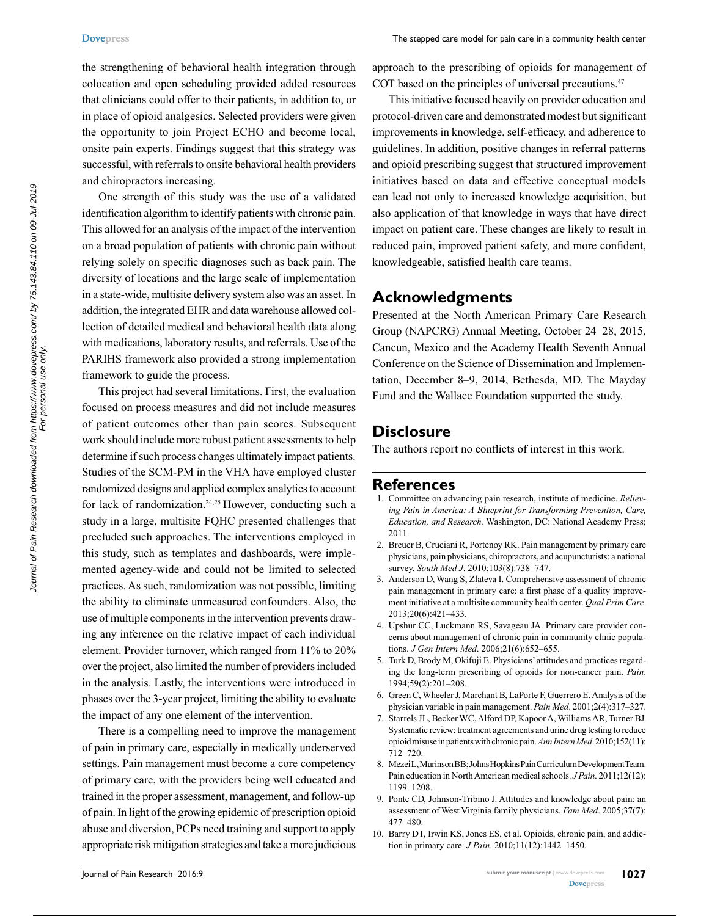the strengthening of behavioral health integration through colocation and open scheduling provided added resources that clinicians could offer to their patients, in addition to, or in place of opioid analgesics. Selected providers were given the opportunity to join Project ECHO and become local, onsite pain experts. Findings suggest that this strategy was successful, with referrals to onsite behavioral health providers and chiropractors increasing.

One strength of this study was the use of a validated identification algorithm to identify patients with chronic pain. This allowed for an analysis of the impact of the intervention on a broad population of patients with chronic pain without relying solely on specific diagnoses such as back pain. The diversity of locations and the large scale of implementation in a state-wide, multisite delivery system also was an asset. In addition, the integrated EHR and data warehouse allowed collection of detailed medical and behavioral health data along with medications, laboratory results, and referrals. Use of the PARIHS framework also provided a strong implementation framework to guide the process.

This project had several limitations. First, the evaluation focused on process measures and did not include measures of patient outcomes other than pain scores. Subsequent work should include more robust patient assessments to help determine if such process changes ultimately impact patients. Studies of the SCM-PM in the VHA have employed cluster randomized designs and applied complex analytics to account for lack of randomization.24,25 However, conducting such a study in a large, multisite FQHC presented challenges that precluded such approaches. The interventions employed in this study, such as templates and dashboards, were implemented agency-wide and could not be limited to selected practices. As such, randomization was not possible, limiting the ability to eliminate unmeasured confounders. Also, the use of multiple components in the intervention prevents drawing any inference on the relative impact of each individual element. Provider turnover, which ranged from 11% to 20% over the project, also limited the number of providers included in the analysis. Lastly, the interventions were introduced in phases over the 3-year project, limiting the ability to evaluate the impact of any one element of the intervention.

There is a compelling need to improve the management of pain in primary care, especially in medically underserved settings. Pain management must become a core competency of primary care, with the providers being well educated and trained in the proper assessment, management, and follow-up of pain. In light of the growing epidemic of prescription opioid abuse and diversion, PCPs need training and support to apply appropriate risk mitigation strategies and take a more judicious

approach to the prescribing of opioids for management of COT based on the principles of universal precautions.<sup>47</sup>

This initiative focused heavily on provider education and protocol-driven care and demonstrated modest but significant improvements in knowledge, self-efficacy, and adherence to guidelines. In addition, positive changes in referral patterns and opioid prescribing suggest that structured improvement initiatives based on data and effective conceptual models can lead not only to increased knowledge acquisition, but also application of that knowledge in ways that have direct impact on patient care. These changes are likely to result in reduced pain, improved patient safety, and more confident, knowledgeable, satisfied health care teams.

# **Acknowledgments**

Presented at the North American Primary Care Research Group (NAPCRG) Annual Meeting, October 24–28, 2015, Cancun, Mexico and the Academy Health Seventh Annual Conference on the Science of Dissemination and Implementation, December 8–9, 2014, Bethesda, MD. The Mayday Fund and the Wallace Foundation supported the study.

# **Disclosure**

The authors report no conflicts of interest in this work.

## **References**

- 1. Committee on advancing pain research, institute of medicine. *Relieving Pain in America: A Blueprint for Transforming Prevention, Care, Education, and Research.* Washington, DC: National Academy Press; 2011.
- 2. Breuer B, Cruciani R, Portenoy RK. Pain management by primary care physicians, pain physicians, chiropractors, and acupuncturists: a national survey. *South Med J*. 2010;103(8):738–747.
- 3. Anderson D, Wang S, Zlateva I. Comprehensive assessment of chronic pain management in primary care: a first phase of a quality improvement initiative at a multisite community health center. *Qual Prim Care*. 2013;20(6):421–433.
- 4. Upshur CC, Luckmann RS, Savageau JA. Primary care provider concerns about management of chronic pain in community clinic populations. *J Gen Intern Med*. 2006;21(6):652–655.
- 5. Turk D, Brody M, Okifuji E. Physicians' attitudes and practices regarding the long-term prescribing of opioids for non-cancer pain. *Pain*. 1994;59(2):201–208.
- 6. Green C, Wheeler J, Marchant B, LaPorte F, Guerrero E. Analysis of the physician variable in pain management. *Pain Med*. 2001;2(4):317–327.
- 7. Starrels JL, Becker WC, Alford DP, Kapoor A, Williams AR, Turner BJ. Systematic review: treatment agreements and urine drug testing to reduce opioid misuse in patients with chronic pain. *Ann Intern Med*. 2010;152(11): 712–720.
- 8. Mezei L, Murinson BB; Johns Hopkins Pain Curriculum Development Team. Pain education in North American medical schools. *J Pain*. 2011;12(12): 1199–1208.
- 9. Ponte CD, Johnson-Tribino J. Attitudes and knowledge about pain: an assessment of West Virginia family physicians. *Fam Med*. 2005;37(7): 477–480.
- 10. Barry DT, Irwin KS, Jones ES, et al. Opioids, chronic pain, and addiction in primary care. *J Pain*. 2010;11(12):1442–1450.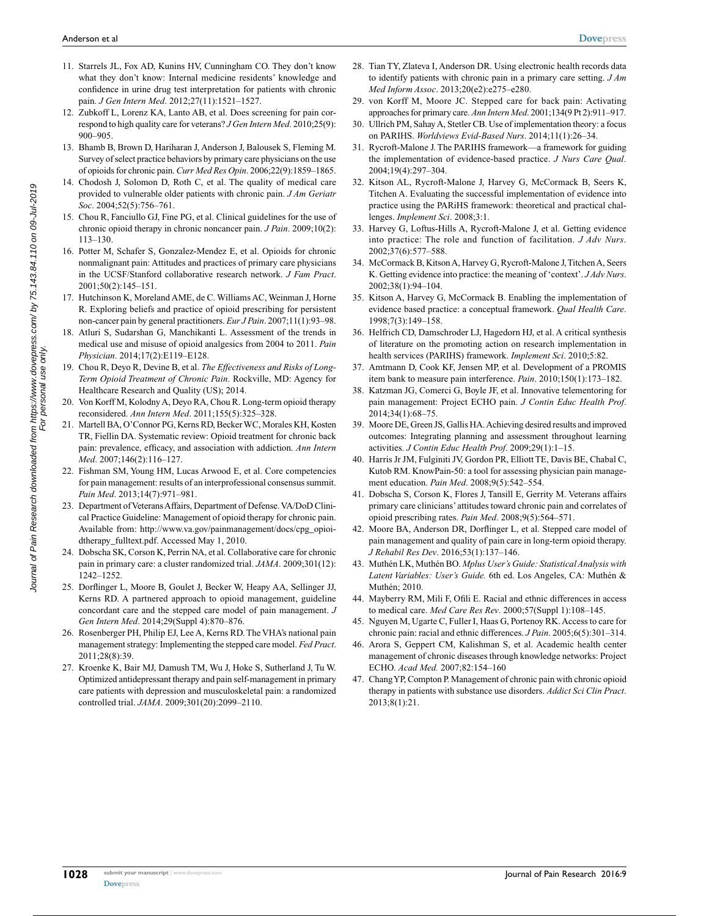- 11. Starrels JL, Fox AD, Kunins HV, Cunningham CO. They don't know what they don't know: Internal medicine residents' knowledge and confidence in urine drug test interpretation for patients with chronic pain. *J Gen Intern Med*. 2012;27(11):1521–1527.
- 12. Zubkoff L, Lorenz KA, Lanto AB, et al. Does screening for pain correspond to high quality care for veterans? *J Gen Intern Med*. 2010;25(9): 900–905.
- 13. Bhamb B, Brown D, Hariharan J, Anderson J, Balousek S, Fleming M. Survey of select practice behaviors by primary care physicians on the use of opioids for chronic pain. *Curr Med Res Opin*. 2006;22(9):1859–1865.
- 14. Chodosh J, Solomon D, Roth C, et al. The quality of medical care provided to vulnerable older patients with chronic pain. *J Am Geriatr Soc*. 2004;52(5):756–761.
- 15. Chou R, Fanciullo GJ, Fine PG, et al. Clinical guidelines for the use of chronic opioid therapy in chronic noncancer pain. *J Pain*. 2009;10(2): 113–130.
- 16. Potter M, Schafer S, Gonzalez-Mendez E, et al. Opioids for chronic nonmalignant pain: Attitudes and practices of primary care physicians in the UCSF/Stanford collaborative research network. *J Fam Pract*. 2001;50(2):145–151.
- 17. Hutchinson K, Moreland AME, de C. Williams AC, Weinman J, Horne R. Exploring beliefs and practice of opioid prescribing for persistent non-cancer pain by general practitioners. *Eur J Pain*. 2007;11(1):93–98.
- 18. Atluri S, Sudarshan G, Manchikanti L. Assessment of the trends in medical use and misuse of opioid analgesics from 2004 to 2011. *Pain Physician*. 2014;17(2):E119–E128.
- 19. Chou R, Deyo R, Devine B, et al. *The Effectiveness and Risks of Long-Term Opioid Treatment of Chronic Pain*. Rockville, MD: Agency for Healthcare Research and Quality (US); 2014.
- Von Korff M, Kolodny A, Deyo RA, Chou R. Long-term opioid therapy reconsidered. *Ann Intern Med*. 2011;155(5):325–328.
- 21. Martell BA, O'Connor PG, Kerns RD, Becker WC, Morales KH, Kosten TR, Fiellin DA. Systematic review: Opioid treatment for chronic back pain: prevalence, efficacy, and association with addiction. *Ann Intern Med*. 2007;146(2):116–127.
- 22. Fishman SM, Young HM, Lucas Arwood E, et al. Core competencies for pain management: results of an interprofessional consensus summit. *Pain Med*. 2013;14(7):971–981.
- 23. Department of Veterans Affairs, Department of Defense. VA/DoD Clinical Practice Guideline: Management of opioid therapy for chronic pain. Available from: http://www.va.gov/painmanagement/docs/cpg\_opioidtherapy\_fulltext.pdf. Accessed May 1, 2010.
- 24. Dobscha SK, Corson K, Perrin NA, et al. Collaborative care for chronic pain in primary care: a cluster randomized trial. *JAMA*. 2009;301(12): 1242–1252.
- 25. Dorflinger L, Moore B, Goulet J, Becker W, Heapy AA, Sellinger JJ, Kerns RD. A partnered approach to opioid management, guideline concordant care and the stepped care model of pain management. *J Gen Intern Med*. 2014;29(Suppl 4):870–876.
- 26. Rosenberger PH, Philip EJ, Lee A, Kerns RD. The VHA's national pain management strategy: Implementing the stepped care model. *Fed Pract*. 2011;28(8):39.
- 27. Kroenke K, Bair MJ, Damush TM, Wu J, Hoke S, Sutherland J, Tu W. Optimized antidepressant therapy and pain self-management in primary care patients with depression and musculoskeletal pain: a randomized controlled trial. *JAMA*. 2009;301(20):2099–2110.
- 28. Tian TY, Zlateva I, Anderson DR. Using electronic health records data to identify patients with chronic pain in a primary care setting. *J Am Med Inform Assoc*. 2013;20(e2):e275–e280.
- 29. von Korff M, Moore JC. Stepped care for back pain: Activating approaches for primary care. *Ann Intern Med*. 2001;134(9 Pt 2):911–917.
- 30. Ullrich PM, Sahay A, Stetler CB. Use of implementation theory: a focus on PARIHS. *Worldviews Evid-Based Nurs*. 2014;11(1):26–34.
- 31. Rycroft-Malone J. The PARIHS framework—a framework for guiding the implementation of evidence-based practice. *J Nurs Care Qual*. 2004;19(4):297–304.
- 32. Kitson AL, Rycroft-Malone J, Harvey G, McCormack B, Seers K, Titchen A. Evaluating the successful implementation of evidence into practice using the PARiHS framework: theoretical and practical challenges. *Implement Sci*. 2008;3:1.
- 33. Harvey G, Loftus-Hills A, Rycroft-Malone J, et al. Getting evidence into practice: The role and function of facilitation. *J Adv Nurs*. 2002;37(6):577–588.
- 34. McCormack B, Kitson A, Harvey G, Rycroft-Malone J, Titchen A, Seers K. Getting evidence into practice: the meaning of 'context'. *J Adv Nurs*. 2002;38(1):94–104.
- 35. Kitson A, Harvey G, McCormack B. Enabling the implementation of evidence based practice: a conceptual framework. *Qual Health Care*. 1998;7(3):149–158.
- 36. Helfrich CD, Damschroder LJ, Hagedorn HJ, et al. A critical synthesis of literature on the promoting action on research implementation in health services (PARIHS) framework. *Implement Sci*. 2010;5:82.
- 37. Amtmann D, Cook KF, Jensen MP, et al. Development of a PROMIS item bank to measure pain interference. *Pain*. 2010;150(1):173–182.
- 38. Katzman JG, Comerci G, Boyle JF, et al. Innovative telementoring for pain management: Project ECHO pain. *J Contin Educ Health Prof*. 2014;34(1):68–75.
- 39. Moore DE, Green JS, Gallis HA. Achieving desired results and improved outcomes: Integrating planning and assessment throughout learning activities. *J Contin Educ Health Prof*. 2009;29(1):1–15.
- 40. Harris Jr JM, Fulginiti JV, Gordon PR, Elliott TE, Davis BE, Chabal C, Kutob RM. KnowPain-50: a tool for assessing physician pain management education. *Pain Med*. 2008;9(5):542–554.
- 41. Dobscha S, Corson K, Flores J, Tansill E, Gerrity M. Veterans affairs primary care clinicians' attitudes toward chronic pain and correlates of opioid prescribing rates. *Pain Med*. 2008;9(5):564–571.
- 42. Moore BA, Anderson DR, Dorflinger L, et al. Stepped care model of pain management and quality of pain care in long-term opioid therapy. *J Rehabil Res Dev*. 2016;53(1):137–146.
- 43. Muthén LK, Muthén BO. *Mplus User's Guide: Statistical Analysis with Latent Variables: User's Guide.* 6th ed. Los Angeles, CA: Muthén & Muthén; 2010.
- 44. Mayberry RM, Mili F, Ofili E. Racial and ethnic differences in access to medical care. *Med Care Res Rev*. 2000;57(Suppl 1):108–145.
- 45. Nguyen M, Ugarte C, Fuller I, Haas G, Portenoy RK. Access to care for chronic pain: racial and ethnic differences. *J Pain*. 2005;6(5):301–314.
- 46. Arora S, Geppert CM, Kalishman S, et al. Academic health center management of chronic diseases through knowledge networks: Project ECHO. *Acad Med.* 2007;82:154–160
- 47. Chang YP, Compton P. Management of chronic pain with chronic opioid therapy in patients with substance use disorders. *Addict Sci Clin Pract*. 2013;8(1):21.